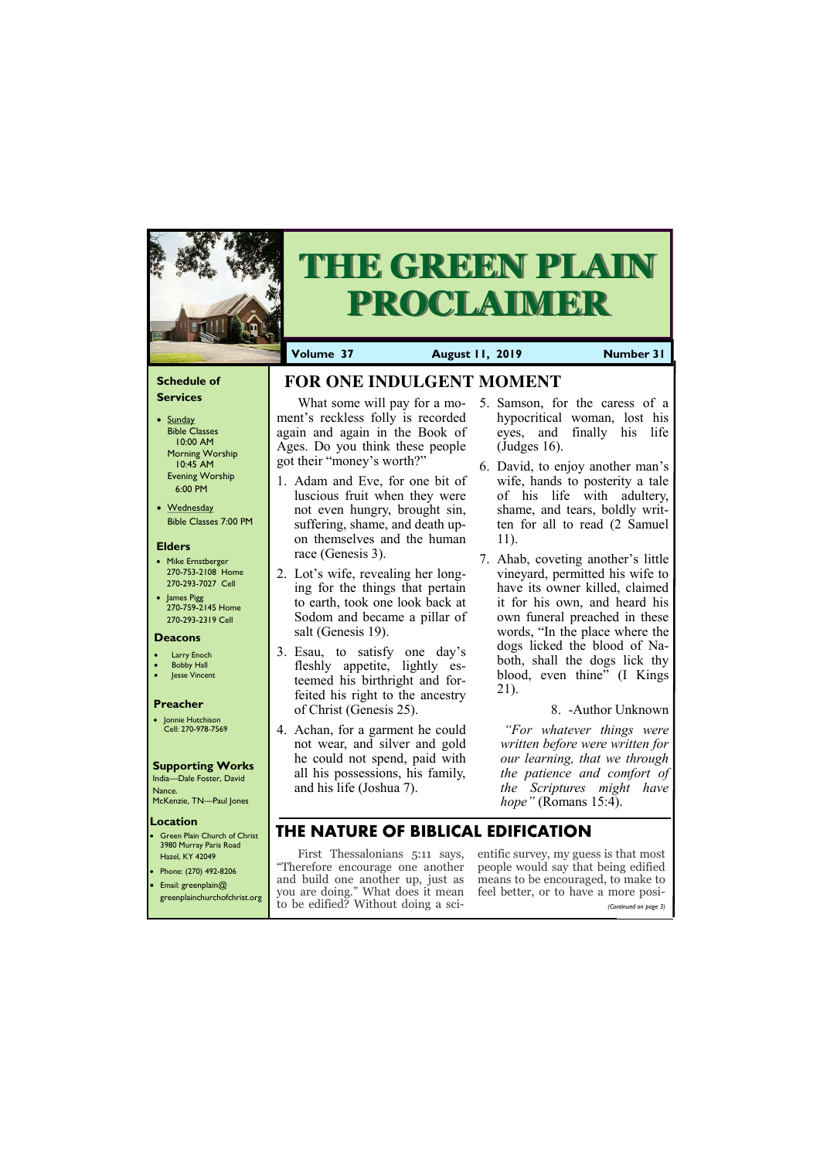#### **Schedule of Services**

- Sunday Bible Classes 10:00 AM Morning Worship 10:45 AM Evening Worship 6:00 PM
- Wednesday Bible Classes 7:00 PM

#### **Elders**

**Green Plain Church of Christ** 3980 Murray Paris Road Hazel, KY 42049 • Phone: (270) 492-8206

- Mike Ernstberger 270-753-2108 Home 270-293-7027 Cell
- James Pigg 270-759-2145 Home 270-293-2319 Cell

#### **Location**



# **THE GREEN PLAIN PROCLAIMER**

**Volume 37 August 11, 2019 Number 31**

#### **Deacons**

- **Larry Enoch**
- **Bobby Hall**
- **Jesse Vincent**

#### **Preacher**

• Jonnie Hutchison Cell: 270-978-7569

#### **Supporting Works**

India—Dale Foster, David Nance. McKenzie, TN—Paul Jones

# **FOR ONE INDULGENT MOMENT**

ment's reckless folly is recorded again and again in the Book of Ages. Do you think these people got their "money's worth?"

- 1. Adam and Eve, for one bit of luscious fruit when they were not even hungry, brought sin, suffering, shame, and death upon themselves and the human race (Genesis 3).
- 2. Lot's wife, revealing her longing for the things that pertain to earth, took one look back at Sodom and became a pillar of salt (Genesis 19).
- 3. Esau, to satisfy one day's fleshly appetite, lightly esteemed his birthright and forfeited his right to the ancestry of Christ (Genesis 25).
- 4. Achan, for a garment he could not wear, and silver and gold he could not spend, paid with all his possessions, his family, and his life (Joshua 7).
- What some will pay for a mo-5. Samson, for the caress of a hypocritical woman, lost his eyes, and finally his life (Judges 16).
	- 6. David, to enjoy another man's wife, hands to posterity a tale of his life with adultery, shame, and tears, boldly written for all to read (2 Samuel 11).
	- 7. Ahab, coveting another's little vineyard, permitted his wife to have its owner killed, claimed it for his own, and heard his own funeral preached in these words, "In the place where the dogs licked the blood of Naboth, shall the dogs lick thy blood, even thine" (I Kings 21).

| • Email: greenplain $@$<br>greenplainchurchofchrist.org | and build one another up, just as means to be encouraged, to make to<br>you are doing." What does it mean feel better, or to have a more posi- |                       |
|---------------------------------------------------------|------------------------------------------------------------------------------------------------------------------------------------------------|-----------------------|
|                                                         | to be edified? Without doing a sci-                                                                                                            | (Continued on page 3) |

#### 8. -Author Unknown

*"For whatever things were written before were written for our learning, that we through the patience and comfort of the Scriptures might have hope"* (Romans 15:4).

# **THE NATURE OF BIBLICAL EDIFICATION**

First Thessalonians 5:11 says, entific survey, my guess is that most "Therefore encourage one another people would say that being edified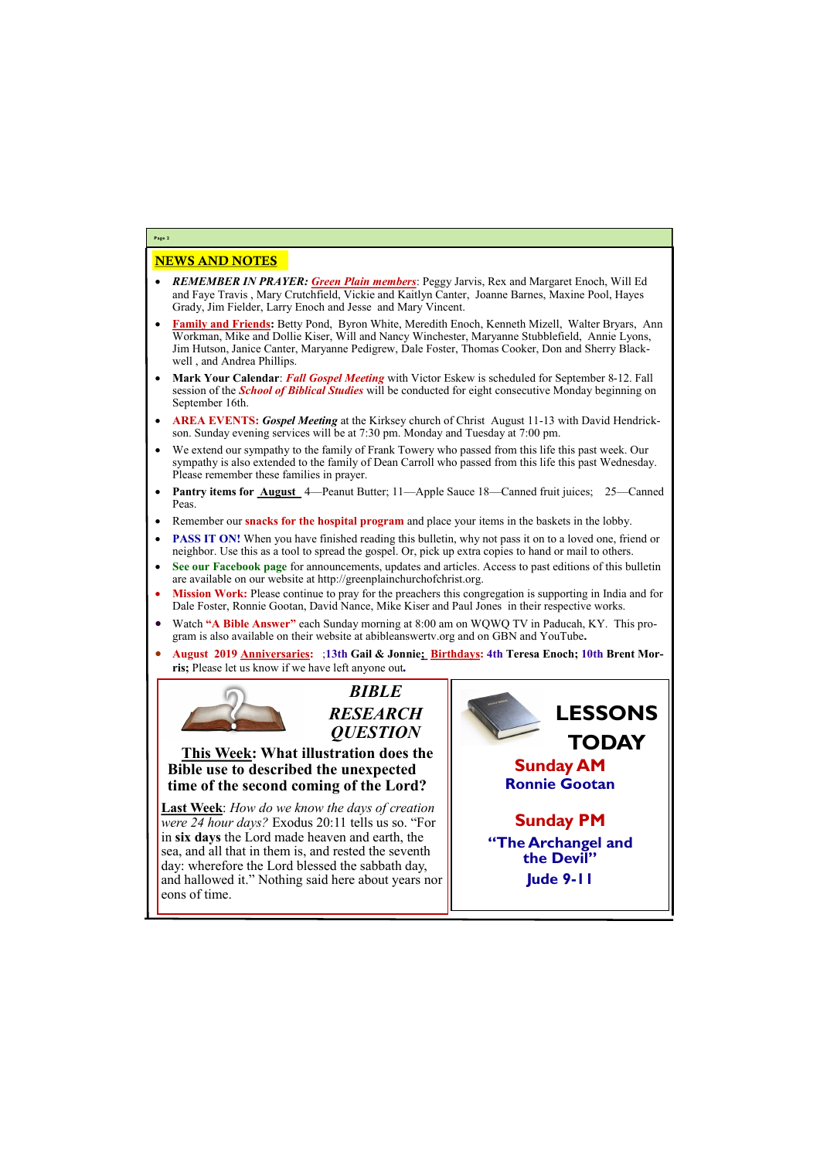## NEWS AND NOTES

- *REMEMBER IN PRAYER: Green Plain members*: Peggy Jarvis, Rex and Margaret Enoch, Will Ed and Faye Travis , Mary Crutchfield, Vickie and Kaitlyn Canter, Joanne Barnes, Maxine Pool, Hayes Grady, Jim Fielder, Larry Enoch and Jesse and Mary Vincent.
- **Family and Friends:** Betty Pond, Byron White, Meredith Enoch, Kenneth Mizell, Walter Bryars, Ann Workman, Mike and Dollie Kiser, Will and Nancy Winchester, Maryanne Stubblefield, Annie Lyons, Jim Hutson, Janice Canter, Maryanne Pedigrew, Dale Foster, Thomas Cooker, Don and Sherry Blackwell , and Andrea Phillips.
- **Mark Your Calendar**: *Fall Gospel Meeting* with Victor Eskew is scheduled for September 8-12. Fall session of the *School of Biblical Studies* will be conducted for eight consecutive Monday beginning on September 16th.
- **AREA EVENTS:** *Gospel Meeting* at the Kirksey church of Christ August 11-13 with David Hendrickson. Sunday evening services will be at 7:30 pm. Monday and Tuesday at 7:00 pm.
- We extend our sympathy to the family of Frank Towery who passed from this life this past week. Our sympathy is also extended to the family of Dean Carroll who passed from this life this past Wednesday. Please remember these families in prayer.
- **Pantry items for August** 4—Peanut Butter; 11—Apple Sauce 18—Canned fruit juices; 25—Canned Peas.
- Remember our **snacks for the hospital program** and place your items in the baskets in the lobby.
- **PASS IT ON!** When you have finished reading this bulletin, why not pass it on to a loved one, friend or neighbor. Use this as a tool to spread the gospel. Or, pick up extra copies to hand or mail to others.
- **See our Facebook page** for announcements, updates and articles. Access to past editions of this bulletin are available on our website at http://greenplainchurchofchrist.org.
- **Mission Work:** Please continue to pray for the preachers this congregation is supporting in India and for Dale Foster, Ronnie Gootan, David Nance, Mike Kiser and Paul Jones in their respective works.
- Watch **"A Bible Answer"** each Sunday morning at 8:00 am on WQWQ TV in Paducah, KY. This program is also available on their website at abibleanswertv.org and on GBN and YouTube**.**
- **August 2019 Anniversaries:** ;**13th Gail & Jonnie; Birthdays: 4th Teresa Enoch; 10th Brent Morris;** Please let us know if we have left anyone out*.*



**Page 2**

*BIBLE RESEARCH QUESTION*

**This Week: What illustration does the Bible use to described the unexpected time of the second coming of the Lord?**

**Last Week**: *How do we know the days of creation were 24 hour days?* Exodus 20:11 tells us so. "For in **six days** the Lord made heaven and earth, the sea, and all that in them is, and rested the seventh day: wherefore the Lord blessed the sabbath day, and hallowed it." Nothing said here about years nor eons of time.



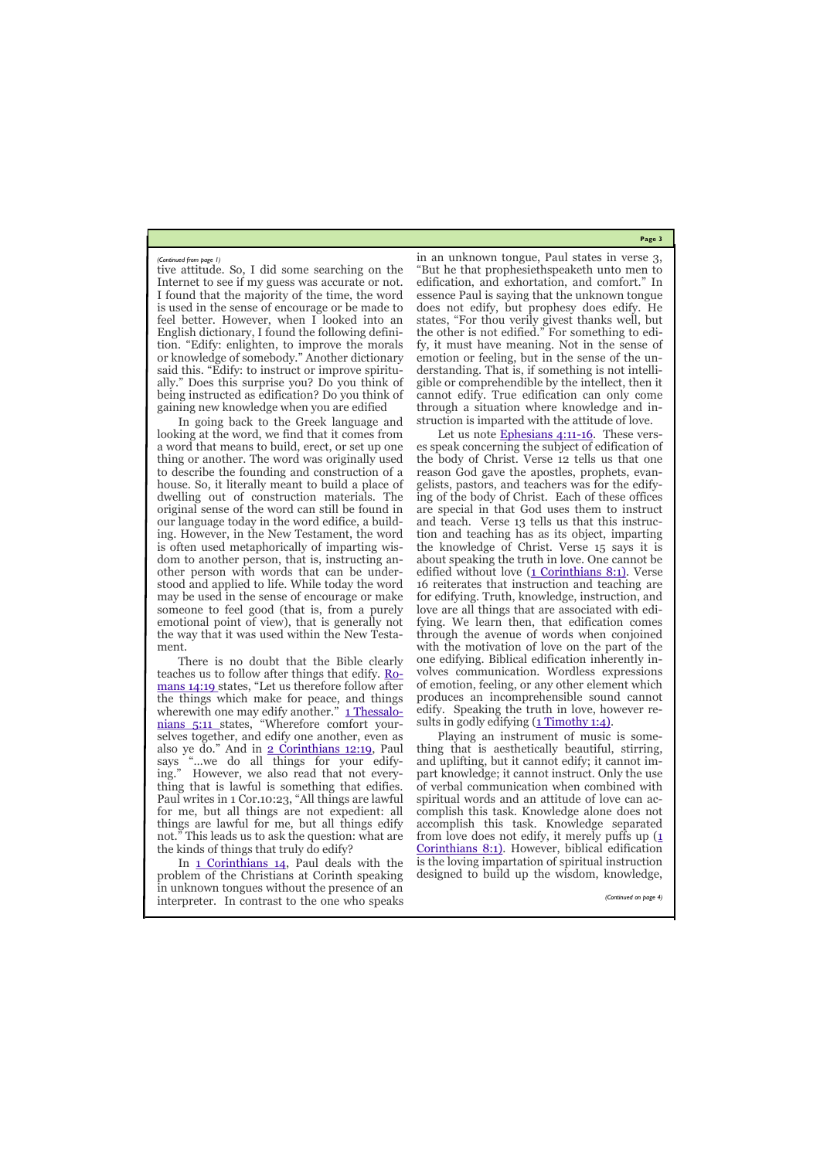**Page 3**

tive attitude. So, I did some searching on the Internet to see if my guess was accurate or not. I found that the majority of the time, the word is used in the sense of encourage or be made to feel better. However, when I looked into an English dictionary, I found the following definition. "Edify: enlighten, to improve the morals or knowledge of somebody." Another dictionary said this. "Edify: to instruct or improve spiritually." Does this surprise you? Do you think of being instructed as edification? Do you think of gaining new knowledge when you are edified

In going back to the Greek language and looking at the word, we find that it comes from a word that means to build, erect, or set up one thing or another. The word was originally used to describe the founding and construction of a house. So, it literally meant to build a place of dwelling out of construction materials. The original sense of the word can still be found in our language today in the word edifice, a building. However, in the New Testament, the word is often used metaphorically of imparting wisdom to another person, that is, instructing another person with words that can be understood and applied to life. While today the word may be used in the sense of encourage or make someone to feel good (that is, from a purely emotional point of view), that is generally not the way that it was used within the New Testament.

There is no doubt that the Bible clearly teaches us to follow after things that edify. [Ro](http://bibles.org/eng-NASB/Rom/14/19)[mans 14:19 s](http://bibles.org/eng-NASB/Rom/14/19)tates, "Let us therefore follow after the things which make for peace, and things wherewith one may edify another." [1 Thessalo](http://bibles.org/eng-NASB/1Thess/5/11)[nians 5:11 s](http://bibles.org/eng-NASB/1Thess/5/11)tates, "Wherefore comfort yourselves together, and edify one another, even as also ye do." And in [2 Corinthians 12:19,](http://bibles.org/eng-NASB/2Cor/12/19) Paul says "…we do all things for your edifying." However, we also read that not everything that is lawful is something that edifies. Paul writes in 1 Cor.10:23, "All things are lawful for me, but all things are not expedient: all things are lawful for me, but all things edify not." This leads us to ask the question: what are the kinds of things that truly do edify?

In [1 Corinthians 14,](http://bibles.org/eng-NASB/1Cor/14/) Paul deals with the problem of the Christians at Corinth speaking in unknown tongues without the presence of an interpreter. In contrast to the one who speaks

in an unknown tongue, Paul states in verse 3, "But he that prophesiethspeaketh unto men to edification, and exhortation, and comfort." In essence Paul is saying that the unknown tongue does not edify, but prophesy does edify. He states, "For thou verily givest thanks well, but the other is not edified." For something to edify, it must have meaning. Not in the sense of emotion or feeling, but in the sense of the understanding. That is, if something is not intelligible or comprehendible by the intellect, then it cannot edify. True edification can only come through a situation where knowledge and instruction is imparted with the attitude of love.

Let us note [Ephesians 4:11](http://bibles.org/eng-NASB/Eph/4/11-16)-16. These verses speak concerning the subject of edification of the body of Christ. Verse 12 tells us that one reason God gave the apostles, prophets, evangelists, pastors, and teachers was for the edifying of the body of Christ. Each of these offices are special in that God uses them to instruct and teach. Verse 13 tells us that this instruction and teaching has as its object, imparting the knowledge of Christ. Verse 15 says it is about speaking the truth in love. One cannot be edified without love  $(1$  Corinthians  $8:1$ ). Verse 16 reiterates that instruction and teaching are for edifying. Truth, knowledge, instruction, and love are all things that are associated with edifying. We learn then, that edification comes through the avenue of words when conjoined with the motivation of love on the part of the one edifying. Biblical edification inherently involves communication. Wordless expressions of emotion, feeling, or any other element which produces an incomprehensible sound cannot edify. Speaking the truth in love, however results in godly edifying  $(1$  Timothy 1:4).

Playing an instrument of music is something that is aesthetically beautiful, stirring, and uplifting, but it cannot edify; it cannot impart knowledge; it cannot instruct. Only the use of verbal communication when combined with spiritual words and an attitude of love can accomplish this task. Knowledge alone does not accomplish this task. Knowledge separated from love does not edify, it merely puffs up  $(1)$ [Corinthians 8:1\).](http://bibles.org/eng-NASB/1Cor/8/1) However, biblical edification is the loving impartation of spiritual instruction designed to build up the wisdom, knowledge,

*(Continued from page 1)*

*(Continued on page 4)*